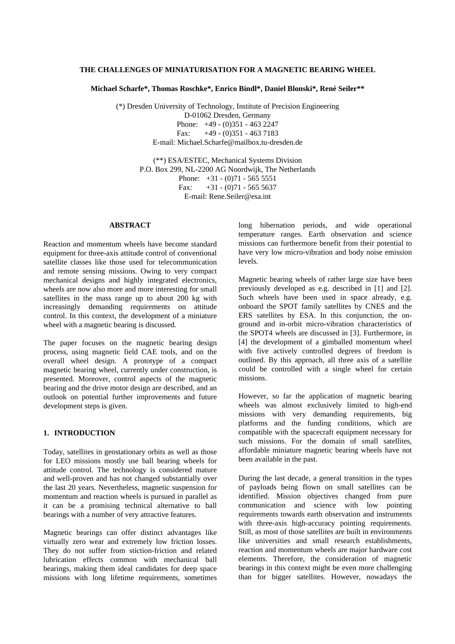## **THE CHALLENGES OF MINIATURISATION FOR A MAGNETIC BEARING WHEEL**

**Michael Scharfe\*, Thomas Roschke\*, Enrico Bindl\*, Daniel Blonski\*, René Seiler\*\***

(\*) Dresden University of Technology, Institute of Precision Engineering D-01062 Dresden, Germany Phone: +49 - (0)351 - 463 2247 Fax:  $+49 - (0)351 - 4637183$ E-mail: Michael.Scharfe@mailbox.tu-dresden.de

> (\*\*) ESA/ESTEC, Mechanical Systems Division P.O. Box 299, NL-2200 AG Noordwijk, The Netherlands Phone:  $+31 - (0)71 - 5655551$ Fax:  $+31 - (0)71 - 56555637$ E-mail: Rene.Seiler@esa.int

# **ABSTRACT**

Reaction and momentum wheels have become standard equipment for three-axis attitude control of conventional satellite classes like those used for telecommunication and remote sensing missions. Owing to very compact mechanical designs and highly integrated electronics, wheels are now also more and more interesting for small satellites in the mass range up to about 200 kg with increasingly demanding requirements on attitude control. In this context, the development of a miniature wheel with a magnetic bearing is discussed.

The paper focuses on the magnetic bearing design process, using magnetic field CAE tools, and on the overall wheel design. A prototype of a compact magnetic bearing wheel, currently under construction, is presented. Moreover, control aspects of the magnetic bearing and the drive motor design are described, and an outlook on potential further improvements and future development steps is given.

# **1. INTRODUCTION**

Today, satellites in geostationary orbits as well as those for LEO missions mostly use ball bearing wheels for attitude control. The technology is considered mature and well-proven and has not changed substantially over the last 20 years. Nevertheless, magnetic suspension for momentum and reaction wheels is pursued in parallel as it can be a promising technical alternative to ball bearings with a number of very attractive features.

Magnetic bearings can offer distinct advantages like virtually zero wear and extremely low friction losses. They do not suffer from stiction-friction and related lubrication effects common with mechanical ball bearings, making them ideal candidates for deep space missions with long lifetime requirements, sometimes long hibernation periods, and wide operational temperature ranges. Earth observation and science missions can furthermore benefit from their potential to have very low micro-vibration and body noise emission levels.

Magnetic bearing wheels of rather large size have been previously developed as e.g. described in [1] and [2]. Such wheels have been used in space already, e.g. onboard the SPOT family satellites by CNES and the ERS satellites by ESA. In this conjunction, the onground and in-orbit micro-vibration characteristics of the SPOT4 wheels are discussed in [3]. Furthermore, in [4] the development of a gimballed momentum wheel with five actively controlled degrees of freedom is outlined. By this approach, all three axis of a satellite could be controlled with a single wheel for certain missions.

However, so far the application of magnetic bearing wheels was almost exclusively limited to high-end missions with very demanding requirements, big platforms and the funding conditions, which are compatible with the spacecraft equipment necessary for such missions. For the domain of small satellites, affordable miniature magnetic bearing wheels have not been available in the past.

During the last decade, a general transition in the types of payloads being flown on small satellites can be identified. Mission objectives changed from pure communication and science with low pointing requirements towards earth observation and instruments with three-axis high-accuracy pointing requirements. Still, as most of those satellites are built in environments like universities and small research establishments, reaction and momentum wheels are major hardware cost elements. Therefore, the consideration of magnetic bearings in this context might be even more challenging than for bigger satellites. However, nowadays the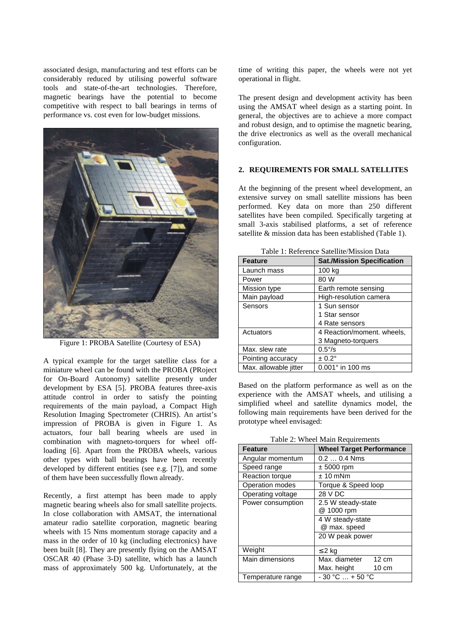associated design, manufacturing and test efforts can be considerably reduced by utilising powerful software tools and state-of-the-art technologies. Therefore, magnetic bearings have the potential to become competitive with respect to ball bearings in terms of performance vs. cost even for low-budget missions.



Figure 1: PROBA Satellite (Courtesy of ESA)

A typical example for the target satellite class for a miniature wheel can be found with the PROBA (PRoject for On-Board Autonomy) satellite presently under development by ESA [5]. PROBA features three-axis attitude control in order to satisfy the pointing requirements of the main payload, a Compact High Resolution Imaging Spectrometer (CHRIS). An artist's impression of PROBA is given in Figure 1. As actuators, four ball bearing wheels are used in combination with magneto-torquers for wheel offloading [6]. Apart from the PROBA wheels, various other types with ball bearings have been recently developed by different entities (see e.g. [7]), and some of them have been successfully flown already.

Recently, a first attempt has been made to apply magnetic bearing wheels also for small satellite projects. In close collaboration with AMSAT, the international amateur radio satellite corporation, magnetic bearing wheels with 15 Nms momentum storage capacity and a mass in the order of 10 kg (including electronics) have been built [8]. They are presently flying on the AMSAT OSCAR 40 (Phase 3-D) satellite, which has a launch mass of approximately 500 kg. Unfortunately, at the

time of writing this paper, the wheels were not yet operational in flight.

The present design and development activity has been using the AMSAT wheel design as a starting point. In general, the objectives are to achieve a more compact and robust design, and to optimise the magnetic bearing, the drive electronics as well as the overall mechanical configuration.

### **2. REQUIREMENTS FOR SMALL SATELLITES**

At the beginning of the present wheel development, an extensive survey on small satellite missions has been performed. Key data on more than 250 different satellites have been compiled. Specifically targeting at small 3-axis stabilised platforms, a set of reference satellite & mission data has been established (Table 1).

| Table 1. Reference Satemie/Mission Data |                                   |  |
|-----------------------------------------|-----------------------------------|--|
| <b>Feature</b>                          | <b>Sat./Mission Specification</b> |  |
| Launch mass                             | 100 kg                            |  |
| Power                                   | 80 W                              |  |
| Mission type                            | Earth remote sensing              |  |
| Main payload                            | High-resolution camera            |  |
| Sensors                                 | 1 Sun sensor                      |  |
|                                         | 1 Star sensor                     |  |
|                                         | 4 Rate sensors                    |  |
| Actuators                               | 4 Reaction/moment. wheels,        |  |
|                                         | 3 Magneto-torquers                |  |
| Max. slew rate                          | $0.5\%$                           |  |
| Pointing accuracy                       | $± 0.2^\circ$                     |  |
| Max. allowable jitter                   | $0.001$ ° in 100 ms               |  |

Table 1: Reference Satellite/Mission Data

Based on the platform performance as well as on the experience with the AMSAT wheels, and utilising a simplified wheel and satellite dynamics model, the following main requirements have been derived for the prototype wheel envisaged:

Table 2: Wheel Main Requirements

| $1.1.1$ and $1.00$ and $0.11.0$ |                                  |  |  |
|---------------------------------|----------------------------------|--|--|
| <b>Feature</b>                  | <b>Wheel Target Performance</b>  |  |  |
| Angular momentum                | $0.20.4$ Nms                     |  |  |
| Speed range                     | $± 5000$ rpm                     |  |  |
| Reaction torque                 | $± 10$ mNm                       |  |  |
| Operation modes                 | Torque & Speed loop              |  |  |
| Operating voltage               | 28 V DC                          |  |  |
| Power consumption               | 2.5 W steady-state               |  |  |
|                                 | @ 1000 rpm                       |  |  |
|                                 | 4 W steady-state                 |  |  |
|                                 | @ max. speed                     |  |  |
|                                 | 20 W peak power                  |  |  |
| Weight                          | $\leq$ 2 kg                      |  |  |
| Main dimensions                 | Max. diameter<br>$12 \text{ cm}$ |  |  |
|                                 | Max. height<br>$10 \text{ cm}$   |  |  |
| Temperature range               | $-30 °C  + 50 °C$                |  |  |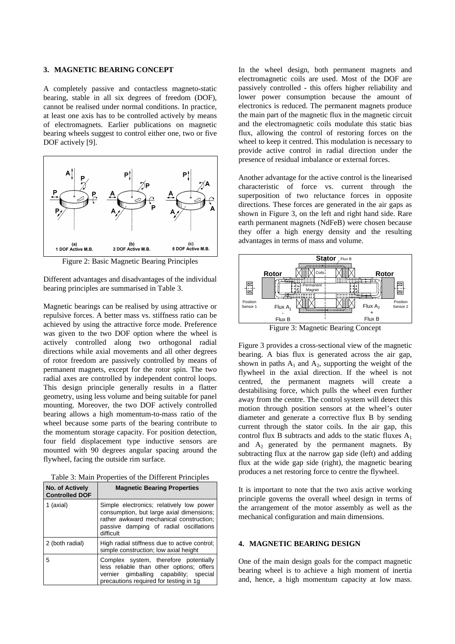#### **3. MAGNETIC BEARING CONCEPT**

A completely passive and contactless magneto-static bearing, stable in all six degrees of freedom (DOF), cannot be realised under normal conditions. In practice, at least one axis has to be controlled actively by means of electromagnets. Earlier publications on magnetic bearing wheels suggest to control either one, two or five DOF actively [9].



Figure 2: Basic Magnetic Bearing Principles

Different advantages and disadvantages of the individual bearing principles are summarised in Table 3.

Magnetic bearings can be realised by using attractive or repulsive forces. A better mass vs. stiffness ratio can be achieved by using the attractive force mode. Preference was given to the two DOF option where the wheel is actively controlled along two orthogonal radial directions while axial movements and all other degrees of rotor freedom are passively controlled by means of permanent magnets, except for the rotor spin. The two radial axes are controlled by independent control loops. This design principle generally results in a flatter geometry, using less volume and being suitable for panel mounting. Moreover, the two DOF actively controlled bearing allows a high momentum-to-mass ratio of the wheel because some parts of the bearing contribute to the momentum storage capacity. For position detection, four field displacement type inductive sensors are mounted with 90 degrees angular spacing around the flywheel, facing the outside rim surface.

Table 3: Main Properties of the Different Principles

| <b>No. of Actively</b><br><b>Controlled DOF</b> | <b>Magnetic Bearing Properties</b>                                                                                                                                                     |
|-------------------------------------------------|----------------------------------------------------------------------------------------------------------------------------------------------------------------------------------------|
| 1 (axial)                                       | Simple electronics; relatively low power<br>consumption, but large axial dimensions;<br>rather awkward mechanical construction:<br>passive damping of radial oscillations<br>difficult |
| 2 (both radial)                                 | High radial stiffness due to active control;<br>simple construction; low axial height                                                                                                  |
| 5                                               | Complex system, therefore potentially<br>less reliable than other options; offers<br>vernier gimballing capability; special<br>precautions required for testing in 1g                  |

In the wheel design, both permanent magnets and electromagnetic coils are used. Most of the DOF are passively controlled - this offers higher reliability and lower power consumption because the amount of electronics is reduced. The permanent magnets produce the main part of the magnetic flux in the magnetic circuit and the electromagnetic coils modulate this static bias flux, allowing the control of restoring forces on the wheel to keep it centred. This modulation is necessary to provide active control in radial direction under the presence of residual imbalance or external forces.

Another advantage for the active control is the linearised characteristic of force vs. current through the superposition of two reluctance forces in opposite directions. These forces are generated in the air gaps as shown in Figure 3, on the left and right hand side. Rare earth permanent magnets (NdFeB) were chosen because they offer a high energy density and the resulting advantages in terms of mass and volume.



Figure 3 provides a cross-sectional view of the magnetic bearing. A bias flux is generated across the air gap, shown in paths  $A_1$  and  $A_2$ , supporting the weight of the flywheel in the axial direction. If the wheel is not centred, the permanent magnets will create a destabilising force, which pulls the wheel even further away from the centre. The control system will detect this motion through position sensors at the wheel's outer diameter and generate a corrective flux B by sending current through the stator coils. In the air gap, this control flux B subtracts and adds to the static fluxes  $A_1$ and  $A_2$  generated by the permanent magnets. By subtracting flux at the narrow gap side (left) and adding flux at the wide gap side (right), the magnetic bearing produces a net restoring force to centre the flywheel.

It is important to note that the two axis active working principle governs the overall wheel design in terms of the arrangement of the motor assembly as well as the mechanical configuration and main dimensions.

# **4. MAGNETIC BEARING DESIGN**

One of the main design goals for the compact magnetic bearing wheel is to achieve a high moment of inertia and, hence, a high momentum capacity at low mass.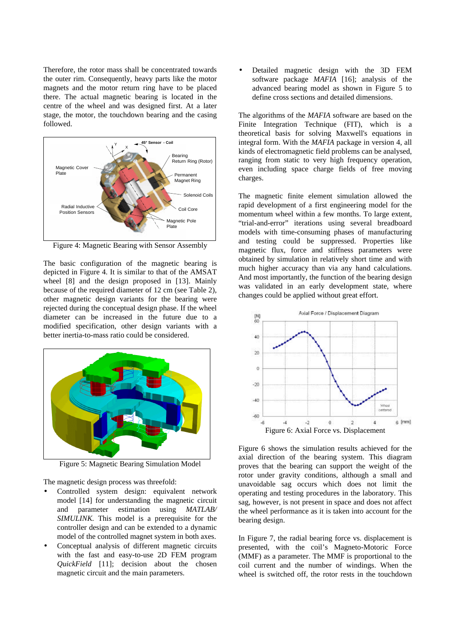Therefore, the rotor mass shall be concentrated towards the outer rim. Consequently, heavy parts like the motor magnets and the motor return ring have to be placed there. The actual magnetic bearing is located in the centre of the wheel and was designed first. At a later stage, the motor, the touchdown bearing and the casing followed.



Figure 4: Magnetic Bearing with Sensor Assembly

The basic configuration of the magnetic bearing is depicted in Figure 4. It is similar to that of the AMSAT wheel [8] and the design proposed in [13]. Mainly because of the required diameter of 12 cm (see Table 2), other magnetic design variants for the bearing were rejected during the conceptual design phase. If the wheel diameter can be increased in the future due to a modified specification, other design variants with a better inertia-to-mass ratio could be considered.



Figure 5: Magnetic Bearing Simulation Model

The magnetic design process was threefold:

- Controlled system design: equivalent network model [14] for understanding the magnetic circuit and parameter estimation using *MATLAB/ SIMULINK.* This model is a prerequisite for the controller design and can be extended to a dynamic model of the controlled magnet system in both axes.
- Conceptual analysis of different magnetic circuits with the fast and easy-to-use 2D FEM program *QuickField* [11]; decision about the chosen magnetic circuit and the main parameters.

• Detailed magnetic design with the 3D FEM software package *MAFIA* [16]; analysis of the advanced bearing model as shown in Figure 5 to define cross sections and detailed dimensions.

The algorithms of the *MAFIA* software are based on the Finite Integration Technique (FIT), which is a theoretical basis for solving Maxwell's equations in integral form. With the *MAFIA* package in version 4, all kinds of electromagnetic field problems can be analysed, ranging from static to very high frequency operation, even including space charge fields of free moving charges.

The magnetic finite element simulation allowed the rapid development of a first engineering model for the momentum wheel within a few months. To large extent, "trial-and-error" iterations using several breadboard models with time-consuming phases of manufacturing and testing could be suppressed. Properties like magnetic flux, force and stiffness parameters were obtained by simulation in relatively short time and with much higher accuracy than via any hand calculations. And most importantly, the function of the bearing design was validated in an early development state, where changes could be applied without great effort.



Figure 6 shows the simulation results achieved for the axial direction of the bearing system. This diagram proves that the bearing can support the weight of the rotor under gravity conditions, although a small and unavoidable sag occurs which does not limit the operating and testing procedures in the laboratory. This sag, however, is not present in space and does not affect the wheel performance as it is taken into account for the bearing design.

In Figure 7, the radial bearing force vs. displacement is presented, with the coil's Magneto-Motoric Force (MMF) as a parameter. The MMF is proportional to the coil current and the number of windings. When the wheel is switched off, the rotor rests in the touchdown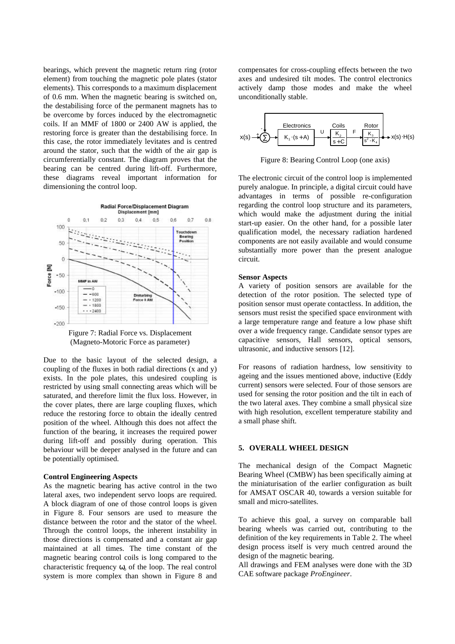bearings, which prevent the magnetic return ring (rotor element) from touching the magnetic pole plates (stator elements). This corresponds to a maximum displacement of 0.6 mm. When the magnetic bearing is switched on, the destabilising force of the permanent magnets has to be overcome by forces induced by the electromagnetic coils. If an MMF of 1800 or 2400 AW is applied, the restoring force is greater than the destabilising force. In this case, the rotor immediately levitates and is centred around the stator, such that the width of the air gap is circumferentially constant. The diagram proves that the bearing can be centred during lift-off. Furthermore, these diagrams reveal important information for dimensioning the control loop.



(Magneto-Motoric Force as parameter)

Due to the basic layout of the selected design, a coupling of the fluxes in both radial directions (x and y) exists. In the pole plates, this undesired coupling is restricted by using small connecting areas which will be saturated, and therefore limit the flux loss. However, in the cover plates, there are large coupling fluxes, which reduce the restoring force to obtain the ideally centred position of the wheel. Although this does not affect the function of the bearing, it increases the required power during lift-off and possibly during operation. This behaviour will be deeper analysed in the future and can be potentially optimised.

#### **Control Engineering Aspects**

As the magnetic bearing has active control in the two lateral axes, two independent servo loops are required. A block diagram of one of those control loops is given in Figure 8. Four sensors are used to measure the distance between the rotor and the stator of the wheel. Through the control loops, the inherent instability in those directions is compensated and a constant air gap maintained at all times. The time constant of the magnetic bearing control coils is long compared to the characteristic frequency  $\omega_0$  of the loop. The real control system is more complex than shown in Figure 8 and compensates for cross-coupling effects between the two axes and undesired tilt modes. The control electronics actively damp those modes and make the wheel unconditionally stable.



Figure 8: Bearing Control Loop (one axis)

The electronic circuit of the control loop is implemented purely analogue. In principle, a digital circuit could have advantages in terms of possible re-configuration regarding the control loop structure and its parameters, which would make the adjustment during the initial start-up easier. On the other hand, for a possible later qualification model, the necessary radiation hardened components are not easily available and would consume substantially more power than the present analogue circuit.

#### **Sensor Aspects**

A variety of position sensors are available for the detection of the rotor position. The selected type of position sensor must operate contactless. In addition, the sensors must resist the specified space environment with a large temperature range and feature a low phase shift over a wide frequency range. Candidate sensor types are capacitive sensors, Hall sensors, optical sensors, ultrasonic, and inductive sensors [12].

For reasons of radiation hardness, low sensitivity to ageing and the issues mentioned above, inductive (Eddy current) sensors were selected. Four of those sensors are used for sensing the rotor position and the tilt in each of the two lateral axes. They combine a small physical size with high resolution, excellent temperature stability and a small phase shift.

## **5. OVERALL WHEEL DESIGN**

The mechanical design of the Compact Magnetic Bearing Wheel (CMBW) has been specifically aiming at the miniaturisation of the earlier configuration as built for AMSAT OSCAR 40, towards a version suitable for small and micro-satellites.

To achieve this goal, a survey on comparable ball bearing wheels was carried out, contributing to the definition of the key requirements in Table 2. The wheel design process itself is very much centred around the design of the magnetic bearing.

All drawings and FEM analyses were done with the 3D CAE software package *ProEngineer*.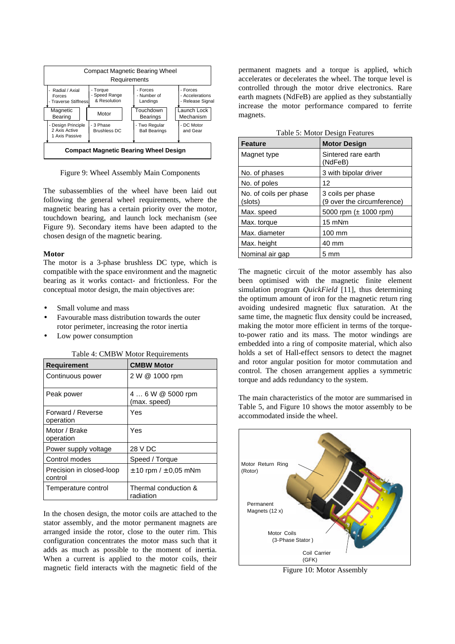

Figure 9: Wheel Assembly Main Components

The subassemblies of the wheel have been laid out following the general wheel requirements, where the magnetic bearing has a certain priority over the motor, touchdown bearing, and launch lock mechanism (see Figure 9). Secondary items have been adapted to the chosen design of the magnetic bearing.

### **Motor**

The motor is a 3-phase brushless DC type, which is compatible with the space environment and the magnetic bearing as it works contact- and frictionless. For the conceptual motor design, the main objectives are:

- Small volume and mass
- Favourable mass distribution towards the outer rotor perimeter, increasing the rotor inertia
- Low power consumption

Table 4: CMBW Motor Requirements

| <b>Requirement</b>                  | <b>CMBW Motor</b>                 |
|-------------------------------------|-----------------------------------|
| Continuous power                    | 2 W @ 1000 rpm                    |
| Peak power                          | 4  6 W @ 5000 rpm<br>(max. speed) |
| Forward / Reverse<br>operation      | Yes                               |
| Motor / Brake<br>operation          | Yes                               |
| Power supply voltage                | 28 V DC                           |
| Control modes                       | Speed / Torque                    |
| Precision in closed-loop<br>control | $\pm$ 10 rpm / $\pm$ 0.05 mNm     |
| Temperature control                 | Thermal conduction &<br>radiation |

In the chosen design, the motor coils are attached to the stator assembly, and the motor permanent magnets are arranged inside the rotor, close to the outer rim. This configuration concentrates the motor mass such that it adds as much as possible to the moment of inertia. When a current is applied to the motor coils, their magnetic field interacts with the magnetic field of the

permanent magnets and a torque is applied, which accelerates or decelerates the wheel. The torque level is controlled through the motor drive electronics. Rare earth magnets (NdFeB) are applied as they substantially increase the motor performance compared to ferrite magnets.

| Table 5: Motor Design Features |  |  |  |
|--------------------------------|--|--|--|
|--------------------------------|--|--|--|

| <b>Feature</b>                    | <b>Motor Design</b>                             |
|-----------------------------------|-------------------------------------------------|
| Magnet type                       | Sintered rare earth<br>(NdFeB)                  |
| No. of phases                     | 3 with bipolar driver                           |
| No. of poles                      | 12                                              |
| No. of coils per phase<br>(slots) | 3 coils per phase<br>(9 over the circumference) |
| Max. speed                        | 5000 rpm $(\pm 1000$ rpm)                       |
| Max. torque                       | 15 mNm                                          |
| Max. diameter                     | 100 mm                                          |
| Max. height                       | 40 mm                                           |
| Nominal air gap                   | 5 mm                                            |

The magnetic circuit of the motor assembly has also been optimised with the magnetic finite element simulation program *QuickField* [11], thus determining the optimum amount of iron for the magnetic return ring avoiding undesired magnetic flux saturation. At the same time, the magnetic flux density could be increased, making the motor more efficient in terms of the torqueto-power ratio and its mass. The motor windings are embedded into a ring of composite material, which also holds a set of Hall-effect sensors to detect the magnet and rotor angular position for motor commutation and control. The chosen arrangement applies a symmetric torque and adds redundancy to the system.

The main characteristics of the motor are summarised in Table 5, and Figure 10 shows the motor assembly to be accommodated inside the wheel.



Figure 10: Motor Assembly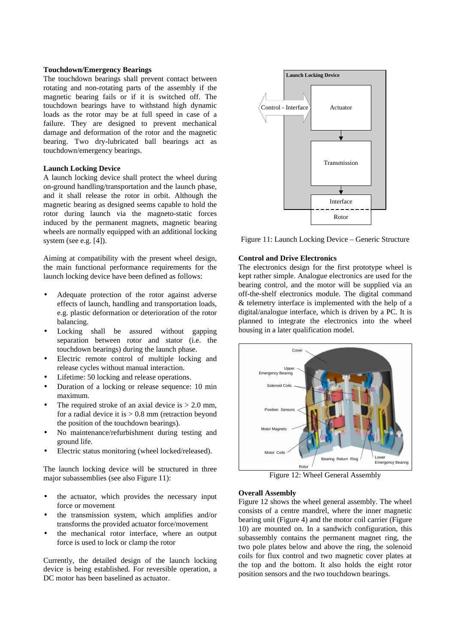#### **Touchdown/Emergency Bearings**

The touchdown bearings shall prevent contact between rotating and non-rotating parts of the assembly if the magnetic bearing fails or if it is switched off. The touchdown bearings have to withstand high dynamic loads as the rotor may be at full speed in case of a failure. They are designed to prevent mechanical damage and deformation of the rotor and the magnetic bearing. Two dry-lubricated ball bearings act as touchdown/emergency bearings.

#### **Launch Locking Device**

A launch locking device shall protect the wheel during on-ground handling/transportation and the launch phase, and it shall release the rotor in orbit. Although the magnetic bearing as designed seems capable to hold the rotor during launch via the magneto-static forces induced by the permanent magnets, magnetic bearing wheels are normally equipped with an additional locking system (see e.g. [4]).

Aiming at compatibility with the present wheel design, the main functional performance requirements for the launch locking device have been defined as follows:

- Adequate protection of the rotor against adverse effects of launch, handling and transportation loads, e.g. plastic deformation or deterioration of the rotor balancing.
- Locking shall be assured without gapping separation between rotor and stator (i.e. the touchdown bearings) during the launch phase*.*
- Electric remote control of multiple locking and release cycles without manual interaction.
- Lifetime: 50 locking and release operations.
- Duration of a locking or release sequence: 10 min maximum.
- The required stroke of an axial device is  $> 2.0$  mm, for a radial device it is  $> 0.8$  mm (retraction beyond the position of the touchdown bearings).
- No maintenance/refurbishment during testing and ground life.
- Electric status monitoring (wheel locked/released).

The launch locking device will be structured in three major subassemblies (see also Figure 11):

- the actuator, which provides the necessary input force or movement
- the transmission system, which amplifies and/or transforms the provided actuator force/movement
- the mechanical rotor interface, where an output force is used to lock or clamp the rotor

Currently, the detailed design of the launch locking device is being established. For reversible operation, a DC motor has been baselined as actuator.



Figure 11: Launch Locking Device – Generic Structure

### **Control and Drive Electronics**

The electronics design for the first prototype wheel is kept rather simple. Analogue electronics are used for the bearing control, and the motor will be supplied via an off-the-shelf electronics module. The digital command & telemetry interface is implemented with the help of a digital/analogue interface, which is driven by a PC. It is planned to integrate the electronics into the wheel housing in a later qualification model.



Figure 12: Wheel General Assembly

#### **Overall Assembly**

Figure 12 shows the wheel general assembly. The wheel consists of a centre mandrel, where the inner magnetic bearing unit (Figure 4) and the motor coil carrier (Figure 10) are mounted on. In a sandwich configuration, this subassembly contains the permanent magnet ring, the two pole plates below and above the ring, the solenoid coils for flux control and two magnetic cover plates at the top and the bottom. It also holds the eight rotor position sensors and the two touchdown bearings.